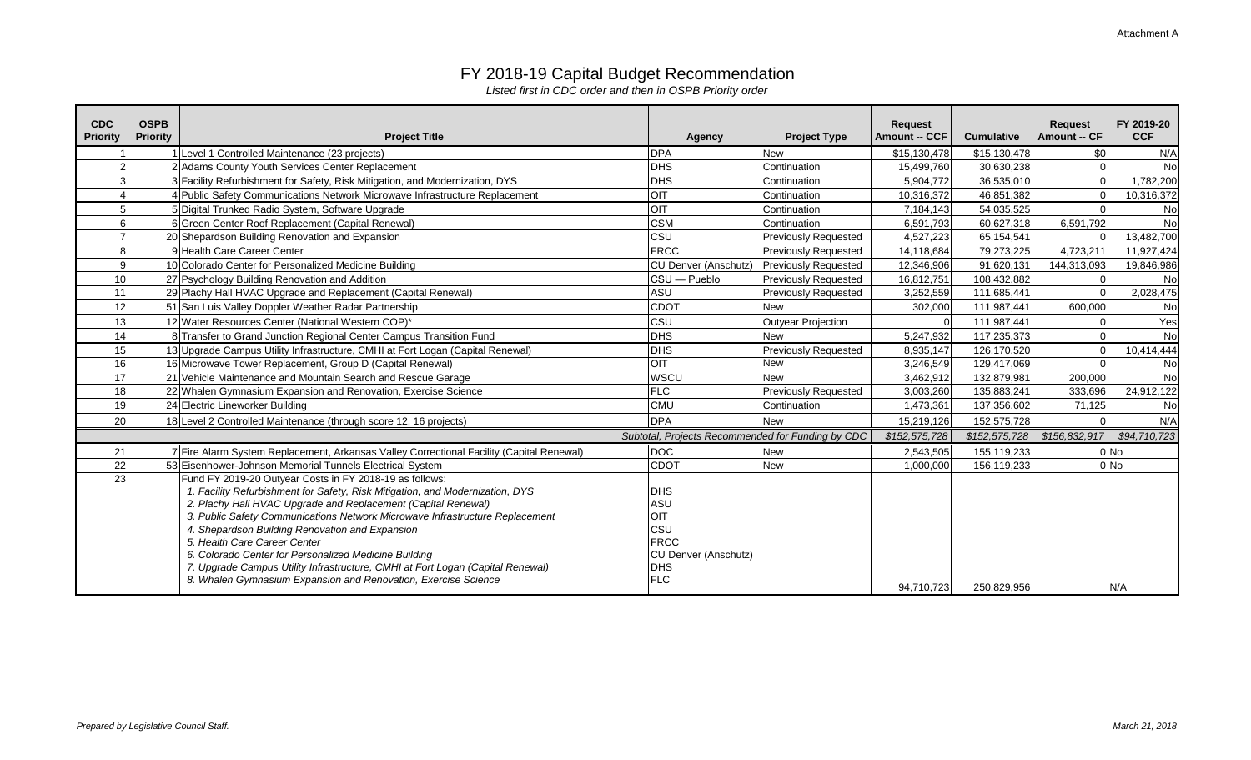| <b>CDC</b><br><b>Priority</b> | <b>OSPB</b><br><b>Priority</b> | <b>Project Title</b>                                                                     | <b>Agency</b>                                     | <b>Project Type</b>         | <b>Request</b><br><b>Amount -- CCF</b> | <b>Cumulative</b> | <b>Request</b><br><b>Amount -- CF</b> | FY 2019-20<br><b>CCF</b> |
|-------------------------------|--------------------------------|------------------------------------------------------------------------------------------|---------------------------------------------------|-----------------------------|----------------------------------------|-------------------|---------------------------------------|--------------------------|
|                               |                                | 1 Level 1 Controlled Maintenance (23 projects)                                           | <b>DPA</b>                                        | <b>New</b>                  | \$15,130,478                           | \$15,130,478      | \$0                                   | N/A                      |
|                               |                                | 2 Adams County Youth Services Center Replacement                                         | <b>DHS</b>                                        | Continuation                | 15,499,760                             | 30,630,238        |                                       | No                       |
|                               |                                | 3 Facility Refurbishment for Safety, Risk Mitigation, and Modernization, DYS             | DHS                                               | Continuation                | 5,904,772                              | 36,535,010        |                                       | 1,782,200                |
|                               |                                | 4 Public Safety Communications Network Microwave Infrastructure Replacement              | <b>OIT</b>                                        | Continuation                | 10,316,372                             | 46,851,382        |                                       | 10,316,372               |
|                               |                                | Digital Trunked Radio System, Software Upgrade                                           | OIT                                               | Continuation                | 7,184,143                              | 54,035,525        |                                       | No                       |
|                               |                                | 6 Green Center Roof Replacement (Capital Renewal)                                        | <b>CSM</b>                                        | Continuation                | 6,591,793                              | 60,627,318        | 6,591,792                             | No                       |
|                               |                                | 20 Shepardson Building Renovation and Expansion                                          | CSU                                               | <b>Previously Requested</b> | 4,527,223                              | 65,154,541        |                                       | 13,482,700               |
| 8                             |                                | 9 Health Care Career Center                                                              | <b>FRCC</b>                                       | Previously Requested        | 14,118,684                             | 79,273,225        | 4,723,211                             | 11,927,424               |
| 9                             |                                | 10 Colorado Center for Personalized Medicine Building                                    | <b>CU Denver (Anschutz)</b>                       | <b>Previously Requested</b> | 12,346,906                             | 91,620,131        | 144,313,093                           | 19,846,986               |
| 10                            |                                | 27 Psychology Building Renovation and Addition                                           | CSU - Pueblo                                      | <b>Previously Requested</b> | 16,812,751                             | 108,432,882       |                                       | No                       |
| 11                            |                                | 29 Plachy Hall HVAC Upgrade and Replacement (Capital Renewal)                            | <b>ASU</b>                                        | <b>Previously Requested</b> | 3,252,559                              | 111,685,441       |                                       | 2,028,475                |
| 12                            |                                | 51 San Luis Valley Doppler Weather Radar Partnership                                     | <b>CDOT</b>                                       | <b>New</b>                  | 302,000                                | 111,987,441       | 600,000                               | No                       |
| 13                            |                                | 12 Water Resources Center (National Western COP)*                                        | CSU                                               | <b>Outyear Projection</b>   |                                        | 111,987,441       |                                       | Yes                      |
| 14                            |                                | 8 Transfer to Grand Junction Regional Center Campus Transition Fund                      | <b>DHS</b>                                        | <b>New</b>                  | 5,247,932                              | 117,235,373       |                                       | No                       |
| 15                            |                                | 13 Upgrade Campus Utility Infrastructure, CMHI at Fort Logan (Capital Renewal)           | <b>DHS</b>                                        | <b>Previously Requested</b> | 8,935,147                              | 126,170,520       |                                       | 10,414,444               |
| 16                            |                                | 16 Microwave Tower Replacement, Group D (Capital Renewal)                                | <b>OIT</b>                                        | <b>New</b>                  | 3,246,549                              | 129,417,069       |                                       | No                       |
| 17                            |                                | 21 Vehicle Maintenance and Mountain Search and Rescue Garage                             | WSCU                                              | <b>New</b>                  | 3,462,912                              | 132,879,981       | 200,000                               | No                       |
| 18                            |                                | 22 Whalen Gymnasium Expansion and Renovation, Exercise Science                           | <b>FLC</b>                                        | <b>Previously Requested</b> | 3,003,260                              | 135,883,241       | 333,696                               | 24,912,122               |
| 19                            |                                | 24 Electric Lineworker Building                                                          | <b>CMU</b>                                        | Continuation                | 1,473,361                              | 137,356,602       | 71,125                                | No                       |
| 20                            |                                | 18 Level 2 Controlled Maintenance (through score 12, 16 projects)                        | <b>DPA</b>                                        | <b>New</b>                  | 15,219,126                             | 152,575,728       |                                       | N/A                      |
|                               |                                |                                                                                          | Subtotal, Projects Recommended for Funding by CDC |                             | \$152,575,728                          | \$152,575,728     | \$156,832,917                         | \$94,710,723             |
| 21                            |                                | 7 Fire Alarm System Replacement, Arkansas Valley Correctional Facility (Capital Renewal) | <b>DOC</b>                                        | <b>New</b>                  | 2,543,505                              | 155,119,233       |                                       | $0$ No                   |
| 22                            |                                | 53 Eisenhower-Johnson Memorial Tunnels Electrical System                                 | <b>CDOT</b>                                       | <b>New</b>                  | 1,000,000                              | 156,119,233       |                                       | $0$ No                   |
| 23                            |                                | Fund FY 2019-20 Outyear Costs in FY 2018-19 as follows:                                  |                                                   |                             |                                        |                   |                                       |                          |
|                               |                                | 1. Facility Refurbishment for Safety, Risk Mitigation, and Modernization, DYS            | DHS                                               |                             |                                        |                   |                                       |                          |
|                               |                                | 2. Plachy Hall HVAC Upgrade and Replacement (Capital Renewal)                            | ASU                                               |                             |                                        |                   |                                       |                          |
|                               |                                | 3. Public Safety Communications Network Microwave Infrastructure Replacement             | <b>OIT</b>                                        |                             |                                        |                   |                                       |                          |
|                               |                                | 4. Shepardson Building Renovation and Expansion                                          | CSU                                               |                             |                                        |                   |                                       |                          |
|                               |                                | 5. Health Care Career Center                                                             | <b>FRCC</b>                                       |                             |                                        |                   |                                       |                          |
|                               |                                | 6. Colorado Center for Personalized Medicine Building                                    | CU Denver (Anschutz)                              |                             |                                        |                   |                                       |                          |
|                               |                                | 7. Upgrade Campus Utility Infrastructure, CMHI at Fort Logan (Capital Renewal)           | DHS                                               |                             |                                        |                   |                                       |                          |
|                               |                                | 8. Whalen Gymnasium Expansion and Renovation, Exercise Science                           | <b>FLC</b>                                        |                             | 94,710,723                             | 250,829,956       |                                       | N/A                      |

## FY 2018-19 Capital Budget Recommendation

*Listed first in CDC order and then in OSPB Priority order*